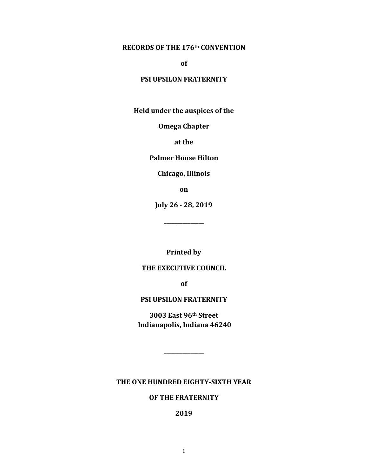#### **RECORDS OF THE 176th CONVENTION**

**of**

#### **PSI UPSILON FRATERNITY**

**Held under the auspices of the**

**Omega Chapter**

**at the**

**Palmer House Hilton**

**Chicago, Illinois**

**on**

**July 26 - 28, 2019**

**\_\_\_\_\_\_\_\_\_\_\_\_\_\_\_**

**Printed by**

#### **THE EXECUTIVE COUNCIL**

**of** 

#### **PSI UPSILON FRATERNITY**

**3003 East 96th Street Indianapolis, Indiana 46240**

**\_\_\_\_\_\_\_\_\_\_\_\_\_\_\_**

**THE ONE HUNDRED EIGHTY-SIXTH YEAR**

#### **OF THE FRATERNITY**

**2019**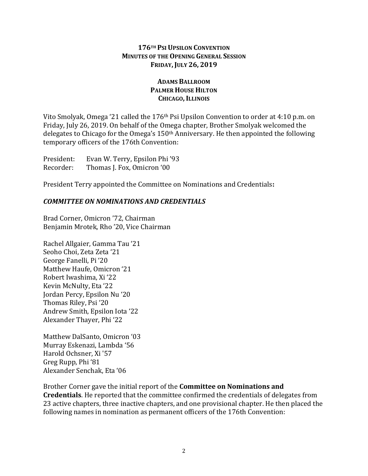### **176TH PSI UPSILON CONVENTION MINUTES OF THE OPENING GENERAL SESSION FRIDAY,JULY 26, 2019**

### **ADAMS BALLROOM PALMER HOUSE HILTON CHICAGO,ILLINOIS**

Vito Smolyak, Omega '21 called the 176th Psi Upsilon Convention to order at 4:10 p.m. on Friday, July 26, 2019. On behalf of the Omega chapter, Brother Smolyak welcomed the delegates to Chicago for the Omega's 150th Anniversary. He then appointed the following temporary officers of the 176th Convention:

President: Evan W. Terry, Epsilon Phi '93 Recorder: Thomas J. Fox, Omicron '00

President Terry appointed the Committee on Nominations and Credentials**:**

## *COMMITTEE ON NOMINATIONS AND CREDENTIALS*

Brad Corner, Omicron '72, Chairman Benjamin Mrotek, Rho '20, Vice Chairman

Rachel Allgaier, Gamma Tau '21 Seoho Choi, Zeta Zeta '21 George Fanelli, Pi '20 Matthew Haufe, Omicron '21 Robert Iwashima, Xi '22 Kevin McNulty, Eta '22 Jordan Percy, Epsilon Nu '20 Thomas Riley, Psi '20 Andrew Smith, Epsilon Iota '22 Alexander Thayer, Phi '22

Matthew DalSanto, Omicron '03 Murray Eskenazi, Lambda '56 Harold Ochsner, Xi '57 Greg Rupp, Phi '81 Alexander Senchak, Eta '06

Brother Corner gave the initial report of the **Committee on Nominations and Credentials**. He reported that the committee confirmed the credentials of delegates from 23 active chapters, three inactive chapters, and one provisional chapter. He then placed the following names in nomination as permanent officers of the 176th Convention: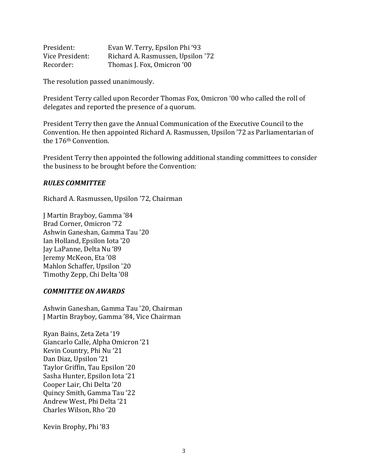| President:      | Evan W. Terry, Epsilon Phi '93    |
|-----------------|-----------------------------------|
| Vice President: | Richard A. Rasmussen, Upsilon '72 |
| Recorder:       | Thomas J. Fox, Omicron '00        |

The resolution passed unanimously.

President Terry called upon Recorder Thomas Fox, Omicron '00 who called the roll of delegates and reported the presence of a quorum.

President Terry then gave the Annual Communication of the Executive Council to the Convention. He then appointed Richard A. Rasmussen, Upsilon '72 as Parliamentarian of the 176th Convention.

President Terry then appointed the following additional standing committees to consider the business to be brought before the Convention:

#### *RULES COMMITTEE*

Richard A. Rasmussen, Upsilon '72, Chairman

J Martin Brayboy, Gamma '84 Brad Corner, Omicron '72 Ashwin Ganeshan, Gamma Tau '20 Ian Holland, Epsilon Iota '20 Jay LaPanne, Delta Nu '89 Jeremy McKeon, Eta '08 Mahlon Schaffer, Upsilon '20 Timothy Zepp, Chi Delta '08

#### *COMMITTEE ON AWARDS*

Ashwin Ganeshan, Gamma Tau '20, Chairman J Martin Brayboy, Gamma '84, Vice Chairman

Ryan Bains, Zeta Zeta '19 Giancarlo Calle, Alpha Omicron '21 Kevin Country, Phi Nu '21 Dan Diaz, Upsilon '21 Taylor Griffin, Tau Epsilon '20 Sasha Hunter, Epsilon Iota '21 Cooper Lair, Chi Delta '20 Quincy Smith, Gamma Tau '22 Andrew West, Phi Delta '21 Charles Wilson, Rho '20

Kevin Brophy, Phi '83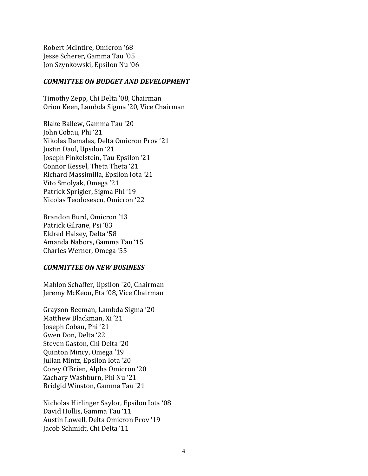Robert McIntire, Omicron '68 Jesse Scherer, Gamma Tau '05 Jon Szynkowski, Epsilon Nu '06

#### *COMMITTEE ON BUDGET AND DEVELOPMENT*

Timothy Zepp, Chi Delta '08, Chairman Orion Keen, Lambda Sigma '20, Vice Chairman

Blake Ballew, Gamma Tau '20 John Cobau, Phi '21 Nikolas Damalas, Delta Omicron Prov '21 Justin Daul, Upsilon '21 Joseph Finkelstein, Tau Epsilon '21 Connor Kessel, Theta Theta '21 Richard Massimilla, Epsilon Iota '21 Vito Smolyak, Omega '21 Patrick Sprigler, Sigma Phi '19 Nicolas Teodosescu, Omicron '22

Brandon Burd, Omicron '13 Patrick Gilrane, Psi '83 Eldred Halsey, Delta '58 Amanda Nabors, Gamma Tau '15 Charles Werner, Omega '55

#### *COMMITTEE ON NEW BUSINESS*

Mahlon Schaffer, Upsilon '20, Chairman Jeremy McKeon, Eta '08, Vice Chairman

Grayson Beeman, Lambda Sigma '20 Matthew Blackman, Xi '21 Joseph Cobau, Phi '21 Gwen Don, Delta '22 Steven Gaston, Chi Delta '20 Quinton Mincy, Omega '19 Julian Mintz, Epsilon Iota '20 Corey O'Brien, Alpha Omicron '20 Zachary Washburn, Phi Nu '21 Bridgid Winston, Gamma Tau '21

Nicholas Hirlinger Saylor, Epsilon Iota '08 David Hollis, Gamma Tau '11 Austin Lowell, Delta Omicron Prov '19 Jacob Schmidt, Chi Delta '11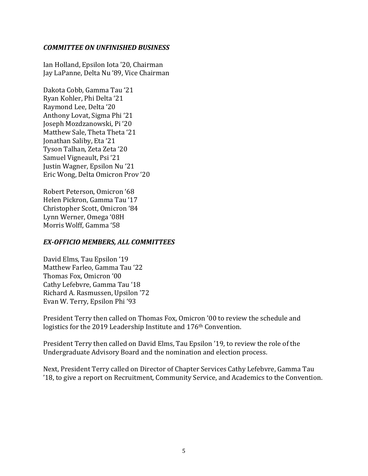#### *COMMITTEE ON UNFINISHED BUSINESS*

Ian Holland, Epsilon Iota '20, Chairman Jay LaPanne, Delta Nu '89, Vice Chairman

Dakota Cobb, Gamma Tau '21 Ryan Kohler, Phi Delta '21 Raymond Lee, Delta '20 Anthony Lovat, Sigma Phi '21 Joseph Mozdzanowski, Pi '20 Matthew Sale, Theta Theta '21 Jonathan Saliby, Eta '21 Tyson Talhan, Zeta Zeta '20 Samuel Vigneault, Psi '21 Justin Wagner, Epsilon Nu '21 Eric Wong, Delta Omicron Prov '20

Robert Peterson, Omicron '68 Helen Pickron, Gamma Tau '17 Christopher Scott, Omicron '84 Lynn Werner, Omega '08H Morris Wolff, Gamma '58

#### *EX-OFFICIO MEMBERS, ALL COMMITTEES*

David Elms, Tau Epsilon '19 Matthew Farleo, Gamma Tau '22 Thomas Fox, Omicron '00 Cathy Lefebvre, Gamma Tau '18 Richard A. Rasmussen, Upsilon '72 Evan W. Terry, Epsilon Phi '93

President Terry then called on Thomas Fox, Omicron '00 to review the schedule and logistics for the 2019 Leadership Institute and 176<sup>th</sup> Convention.

President Terry then called on David Elms, Tau Epsilon '19, to review the role of the Undergraduate Advisory Board and the nomination and election process.

Next, President Terry called on Director of Chapter Services Cathy Lefebvre, Gamma Tau '18, to give a report on Recruitment, Community Service, and Academics to the Convention.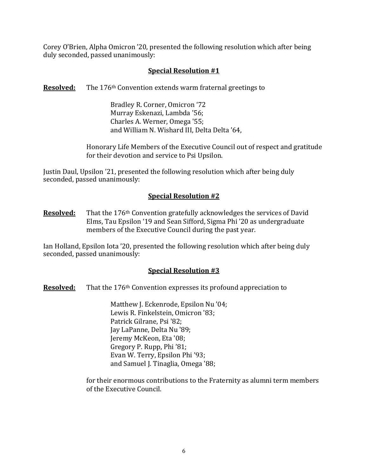Corey O'Brien, Alpha Omicron '20, presented the following resolution which after being duly seconded, passed unanimously:

# **Special Resolution #1**

**Resolved:** The 176<sup>th</sup> Convention extends warm fraternal greetings to

Bradley R. Corner, Omicron '72 Murray Eskenazi, Lambda '56; Charles A. Werner, Omega '55; and William N. Wishard III, Delta Delta '64,

Honorary Life Members of the Executive Council out of respect and gratitude for their devotion and service to Psi Upsilon.

Justin Daul, Upsilon '21, presented the following resolution which after being duly seconded, passed unanimously:

## **Special Resolution #2**

**Resolved:** That the 176<sup>th</sup> Convention gratefully acknowledges the services of David Elms, Tau Epsilon '19 and Sean Sifford, Sigma Phi '20 as undergraduate members of the Executive Council during the past year.

Ian Holland, Epsilon Iota '20, presented the following resolution which after being duly seconded, passed unanimously:

### **Special Resolution #3**

**Resolved:** That the 176<sup>th</sup> Convention expresses its profound appreciation to

Matthew J. Eckenrode, Epsilon Nu '04; Lewis R. Finkelstein, Omicron '83; Patrick Gilrane, Psi '82; Jay LaPanne, Delta Nu '89; Jeremy McKeon, Eta '08; Gregory P. Rupp, Phi '81; Evan W. Terry, Epsilon Phi '93; and Samuel J. Tinaglia, Omega '88;

for their enormous contributions to the Fraternity as alumni term members of the Executive Council.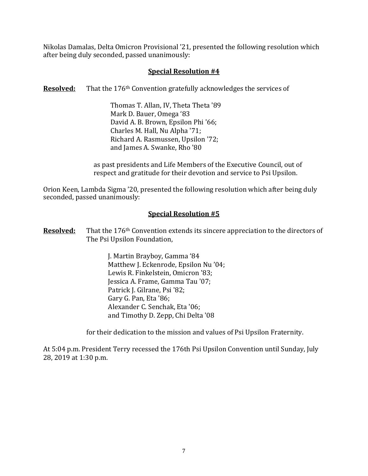Nikolas Damalas, Delta Omicron Provisional '21, presented the following resolution which after being duly seconded, passed unanimously:

### **Special Resolution #4**

**Resolved:** That the 176<sup>th</sup> Convention gratefully acknowledges the services of

Thomas T. Allan, IV, Theta Theta '89 Mark D. Bauer, Omega '83 David A. B. Brown, Epsilon Phi '66; Charles M. Hall, Nu Alpha '71; Richard A. Rasmussen, Upsilon '72; and James A. Swanke, Rho '80

as past presidents and Life Members of the Executive Council, out of respect and gratitude for their devotion and service to Psi Upsilon.

Orion Keen, Lambda Sigma '20, presented the following resolution which after being duly seconded, passed unanimously:

### **Special Resolution #5**

**Resolved:** That the 176<sup>th</sup> Convention extends its sincere appreciation to the directors of The Psi Upsilon Foundation,

> J. Martin Brayboy, Gamma '84 Matthew J. Eckenrode, Epsilon Nu '04; Lewis R. Finkelstein, Omicron '83; Jessica A. Frame, Gamma Tau '07; Patrick J. Gilrane, Psi '82; Gary G. Pan, Eta '86; Alexander C. Senchak, Eta '06; and Timothy D. Zepp, Chi Delta '08

for their dedication to the mission and values of Psi Upsilon Fraternity.

At 5:04 p.m. President Terry recessed the 176th Psi Upsilon Convention until Sunday, July 28, 2019 at 1:30 p.m.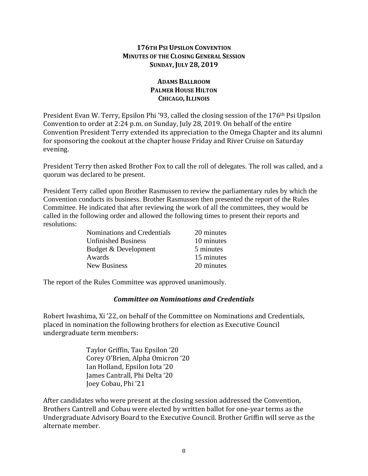#### **176TH PSI UPSILON CONVENTION MINUTES OF THE CLOSING GENERAL SESSION SUNDAY,JULY 28, 2019**

## **ADAMS BALLROOM PALMER HOUSE HILTON CHICAGO,ILLINOIS**

President Evan W. Terry, Epsilon Phi '93, called the closing session of the 176th Psi Upsilon Convention to order at 2:24 p.m. on Sunday, July 28, 2019. On behalf of the entire Convention President Terry extended its appreciation to the Omega Chapter and its alumni for sponsoring the cookout at the chapter house Friday and River Cruise on Saturday evening.

President Terry then asked Brother Fox to call the roll of delegates. The roll was called, and a quorum was declared to be present.

President Terry called upon Brother Rasmussen to review the parliamentary rules by which the Convention conducts its business. Brother Rasmussen then presented the report of the Rules Committee. He indicated that after reviewing the work of all the committees, they would be called in the following order and allowed the following times to present their reports and resolutions:

| Nominations and Credentials | 20 minutes |
|-----------------------------|------------|
| <b>Unfinished Business</b>  | 10 minutes |
| Budget & Development        | 5 minutes  |
| Awards                      | 15 minutes |
| <b>New Business</b>         | 20 minutes |

The report of the Rules Committee was approved unanimously.

### *Committee on Nominations and Credentials*

Robert Iwashima, Xi '22, on behalf of the Committee on Nominations and Credentials, placed in nomination the following brothers for election as Executive Council undergraduate term members:

> Taylor Griffin, Tau Epsilon '20 Corey O'Brien, Alpha Omicron '20 Ian Holland, Epsilon Iota '20 James Cantrall, Phi Delta '20 Joey Cobau, Phi '21

After candidates who were present at the closing session addressed the Convention, Brothers Cantrell and Cobau were elected by written ballot for one-year terms as the Undergraduate Advisory Board to the Executive Council. Brother Griffin will serve as the alternate member.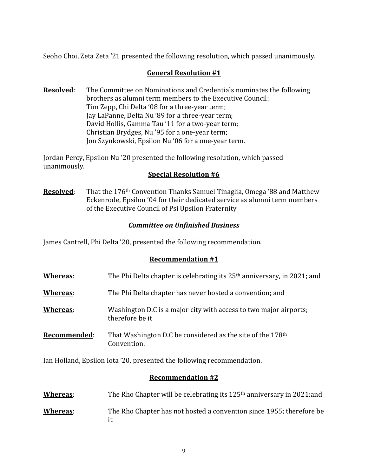Seoho Choi, Zeta Zeta '21 presented the following resolution, which passed unanimously.

# **General Resolution #1**

**Resolved**: The Committee on Nominations and Credentials nominates the following brothers as alumni term members to the Executive Council: Tim Zepp, Chi Delta '08 for a three-year term; Jay LaPanne, Delta Nu '89 for a three-year term; David Hollis, Gamma Tau '11 for a two-year term; Christian Brydges, Nu '95 for a one-year term; Jon Szynkowski, Epsilon Nu '06 for a one-year term.

Jordan Percy, Epsilon Nu '20 presented the following resolution, which passed unanimously.

#### **Special Resolution #6**

**Resolved**: That the 176th Convention Thanks Samuel Tinaglia, Omega '88 and Matthew Eckenrode, Epsilon '04 for their dedicated service as alumni term members of the Executive Council of Psi Upsilon Fraternity

### *Committee on Unfinished Business*

James Cantrell, Phi Delta '20, presented the following recommendation.

### **Recommendation #1**

| Whereas:            | The Phi Delta chapter is celebrating its 25 <sup>th</sup> anniversary, in 2021; and   |
|---------------------|---------------------------------------------------------------------------------------|
| <u>Whereas</u> :    | The Phi Delta chapter has never hosted a convention; and                              |
| Whereas:            | Washington D.C is a major city with access to two major airports;<br>therefore be it  |
| <u>Recommended:</u> | That Washington D.C be considered as the site of the 178 <sup>th</sup><br>Convention. |

Ian Holland, Epsilon Iota '20, presented the following recommendation.

### **Recommendation #2**

| Whereas: |  | The Rho Chapter will be celebrating its 125 <sup>th</sup> anniversary in 2021:and |
|----------|--|-----------------------------------------------------------------------------------|
|----------|--|-----------------------------------------------------------------------------------|

**Whereas**: The Rho Chapter has not hosted a convention since 1955; therefore be it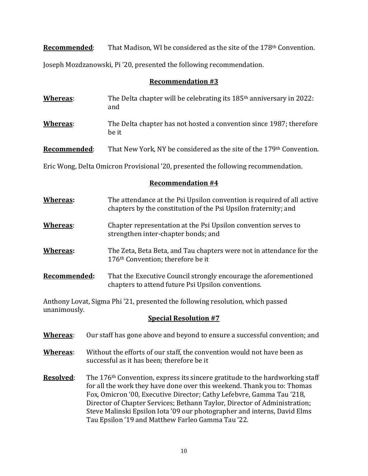**Recommended:** That Madison, WI be considered as the site of the 178<sup>th</sup> Convention.

Joseph Mozdzanowski, Pi '20, presented the following recommendation.

#### **Recommendation #3**

- **Whereas:** The Delta chapter will be celebrating its 185<sup>th</sup> anniversary in 2022: and
- **Whereas**: The Delta chapter has not hosted a convention since 1987; therefore be it

**Recommended:** That New York, NY be considered as the site of the 179<sup>th</sup> Convention.

Eric Wong, Delta Omicron Provisional '20, presented the following recommendation.

# **Recommendation #4**

- **Whereas:** The attendance at the Psi Upsilon convention is required of all active chapters by the constitution of the Psi Upsilon fraternity; and **Whereas**: Chapter representation at the Psi Upsilon convention serves to strengthen inter-chapter bonds; and
- **Whereas:** The Zeta, Beta Beta, and Tau chapters were not in attendance for the 176th Convention; therefore be it
- **Recommended:** That the Executive Council strongly encourage the aforementioned chapters to attend future Psi Upsilon conventions.

Anthony Lovat, Sigma Phi '21, presented the following resolution, which passed unanimously.

- **Whereas**: Our staff has gone above and beyond to ensure a successful convention; and
- **Whereas**: Without the efforts of our staff, the convention would not have been as successful as it has been; therefore be it
- **Resolved:** The 176<sup>th</sup> Convention, express its sincere gratitude to the hardworking staff for all the work they have done over this weekend. Thank you to: Thomas Fox, Omicron '00, Executive Director; Cathy Lefebvre, Gamma Tau '218, Director of Chapter Services; Bethann Taylor, Director of Administration; Steve Malinski Epsilon Iota '09 our photographer and interns, David Elms Tau Epsilon '19 and Matthew Farleo Gamma Tau '22.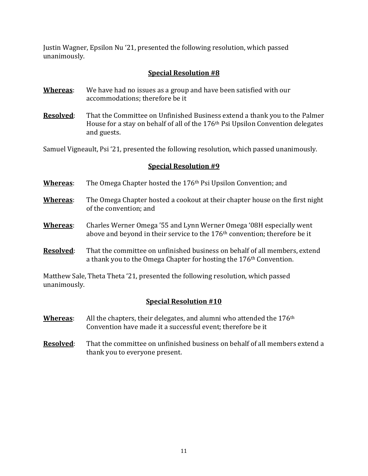Justin Wagner, Epsilon Nu '21, presented the following resolution, which passed unanimously.

# **Special Resolution #8**

- **Whereas**: We have had no issues as a group and have been satisfied with our accommodations; therefore be it
- **Resolved**: That the Committee on Unfinished Business extend a thank you to the Palmer House for a stay on behalf of all of the 176th Psi Upsilon Convention delegates and guests.

Samuel Vigneault, Psi '21, presented the following resolution, which passed unanimously.

### **Special Resolution #9**

- **Whereas**: The Omega Chapter hosted the 176th Psi Upsilon Convention; and
- **Whereas**: The Omega Chapter hosted a cookout at their chapter house on the first night of the convention; and
- **Whereas**: Charles Werner Omega '55 and Lynn Werner Omega '08H especially went above and beyond in their service to the 176th convention; therefore be it
- **Resolved**: That the committee on unfinished business on behalf of all members, extend a thank you to the Omega Chapter for hosting the 176th Convention.

Matthew Sale, Theta Theta '21, presented the following resolution, which passed unanimously.

- **Whereas**: All the chapters, their delegates, and alumni who attended the 176th Convention have made it a successful event; therefore be it
- **Resolved:** That the committee on unfinished business on behalf of all members extend a thank you to everyone present.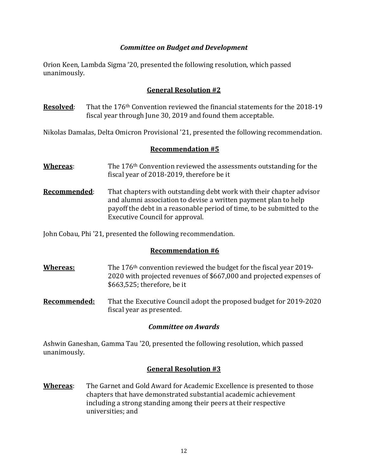### *Committee on Budget and Development*

Orion Keen, Lambda Sigma '20, presented the following resolution, which passed unanimously.

### **General Resolution #2**

**Resolved:** That the 176<sup>th</sup> Convention reviewed the financial statements for the 2018-19 fiscal year through June 30, 2019 and found them acceptable.

Nikolas Damalas, Delta Omicron Provisional '21, presented the following recommendation.

### **Recommendation #5**

- **Whereas:** The 176<sup>th</sup> Convention reviewed the assessments outstanding for the fiscal year of 2018-2019, therefore be it
- **Recommended**: That chapters with outstanding debt work with their chapter advisor and alumni association to devise a written payment plan to help payoff the debt in a reasonable period of time, to be submitted to the Executive Council for approval.

John Cobau, Phi '21, presented the following recommendation.

### **Recommendation #6**

- **Whereas:** The 176<sup>th</sup> convention reviewed the budget for the fiscal year 2019-2020 with projected revenues of \$667,000 and projected expenses of \$663,525; therefore, be it
- **Recommended:** That the Executive Council adopt the proposed budget for 2019-2020 fiscal year as presented.

# *Committee on Awards*

Ashwin Ganeshan, Gamma Tau '20, presented the following resolution, which passed unanimously.

# **General Resolution #3**

**Whereas**: The Garnet and Gold Award for Academic Excellence is presented to those chapters that have demonstrated substantial academic achievement including a strong standing among their peers at their respective universities; and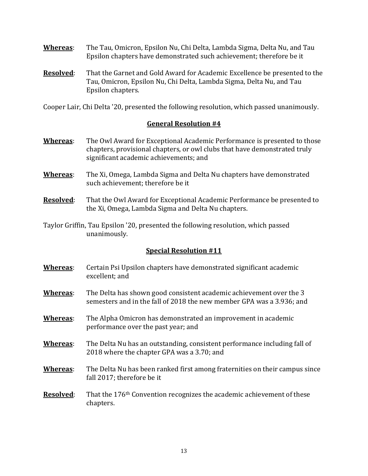- **Whereas**: The Tau, Omicron, Epsilon Nu, Chi Delta, Lambda Sigma, Delta Nu, and Tau Epsilon chapters have demonstrated such achievement; therefore be it
- **Resolved**: That the Garnet and Gold Award for Academic Excellence be presented to the Tau, Omicron, Epsilon Nu, Chi Delta, Lambda Sigma, Delta Nu, and Tau Epsilon chapters.

Cooper Lair, Chi Delta '20, presented the following resolution, which passed unanimously.

### **General Resolution #4**

- **Whereas**: The Owl Award for Exceptional Academic Performance is presented to those chapters, provisional chapters, or owl clubs that have demonstrated truly significant academic achievements; and
- **Whereas**: The Xi, Omega, Lambda Sigma and Delta Nu chapters have demonstrated such achievement; therefore be it
- **Resolved**: That the Owl Award for Exceptional Academic Performance be presented to the Xi, Omega, Lambda Sigma and Delta Nu chapters.
- Taylor Griffin, Tau Epsilon '20, presented the following resolution, which passed unanimously.

- **Whereas**: Certain Psi Upsilon chapters have demonstrated significant academic excellent; and
- **Whereas**: The Delta has shown good consistent academic achievement over the 3 semesters and in the fall of 2018 the new member GPA was a 3.936; and
- **Whereas**: The Alpha Omicron has demonstrated an improvement in academic performance over the past year; and
- **Whereas**: The Delta Nu has an outstanding, consistent performance including fall of 2018 where the chapter GPA was a 3.70; and
- **Whereas**: The Delta Nu has been ranked first among fraternities on their campus since fall 2017; therefore be it
- **Resolved:** That the 176<sup>th</sup> Convention recognizes the academic achievement of these chapters.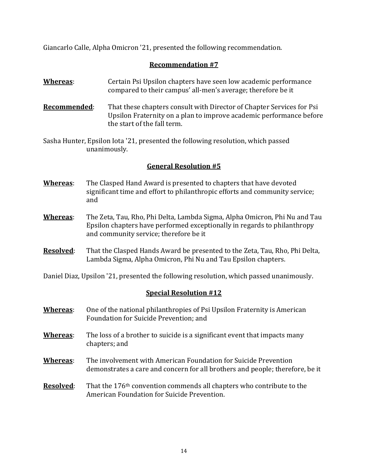Giancarlo Calle, Alpha Omicron '21, presented the following recommendation.

# **Recommendation #7**

- **Whereas:** Certain Psi Upsilon chapters have seen low academic performance compared to their campus' all-men's average; therefore be it
- **Recommended**: That these chapters consult with Director of Chapter Services for Psi Upsilon Fraternity on a plan to improve academic performance before the start of the fall term.
- Sasha Hunter, Epsilon Iota '21, presented the following resolution, which passed unanimously.

### **General Resolution #5**

- **Whereas**: The Clasped Hand Award is presented to chapters that have devoted significant time and effort to philanthropic efforts and community service; and
- **Whereas**: The Zeta, Tau, Rho, Phi Delta, Lambda Sigma, Alpha Omicron, Phi Nu and Tau Epsilon chapters have performed exceptionally in regards to philanthropy and community service; therefore be it
- **Resolved**: That the Clasped Hands Award be presented to the Zeta, Tau, Rho, Phi Delta, Lambda Sigma, Alpha Omicron, Phi Nu and Tau Epsilon chapters.

Daniel Diaz, Upsilon '21, presented the following resolution, which passed unanimously.

- **Whereas**: One of the national philanthropies of Psi Upsilon Fraternity is American Foundation for Suicide Prevention; and
- **Whereas**: The loss of a brother to suicide is a significant event that impacts many chapters; and
- **Whereas**: The involvement with American Foundation for Suicide Prevention demonstrates a care and concern for all brothers and people; therefore, be it
- **Resolved:** That the 176<sup>th</sup> convention commends all chapters who contribute to the American Foundation for Suicide Prevention.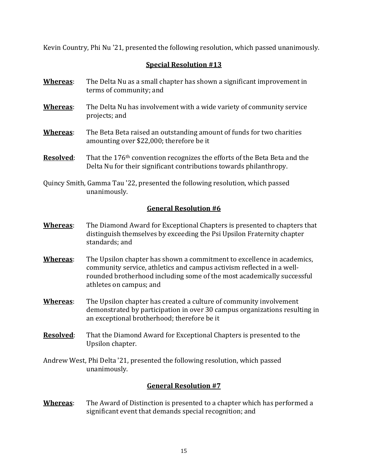Kevin Country, Phi Nu '21, presented the following resolution, which passed unanimously.

# **Special Resolution #13**

- **Whereas**: The Delta Nu as a small chapter has shown a significant improvement in terms of community; and
- **Whereas**: The Delta Nu has involvement with a wide variety of community service projects; and
- **Whereas**: The Beta Beta raised an outstanding amount of funds for two charities amounting over \$22,000; therefore be it
- **Resolved:** That the 176<sup>th</sup> convention recognizes the efforts of the Beta Beta and the Delta Nu for their significant contributions towards philanthropy.
- Quincy Smith, Gamma Tau '22, presented the following resolution, which passed unanimously.

## **General Resolution #6**

- **Whereas**: The Diamond Award for Exceptional Chapters is presented to chapters that distinguish themselves by exceeding the Psi Upsilon Fraternity chapter standards; and
- **Whereas**: The Upsilon chapter has shown a commitment to excellence in academics, community service, athletics and campus activism reflected in a wellrounded brotherhood including some of the most academically successful athletes on campus; and
- **Whereas**: The Upsilon chapter has created a culture of community involvement demonstrated by participation in over 30 campus organizations resulting in an exceptional brotherhood; therefore be it
- **Resolved**: That the Diamond Award for Exceptional Chapters is presented to the Upsilon chapter.
- Andrew West, Phi Delta '21, presented the following resolution, which passed unanimously.

# **General Resolution #7**

**Whereas**: The Award of Distinction is presented to a chapter which has performed a significant event that demands special recognition; and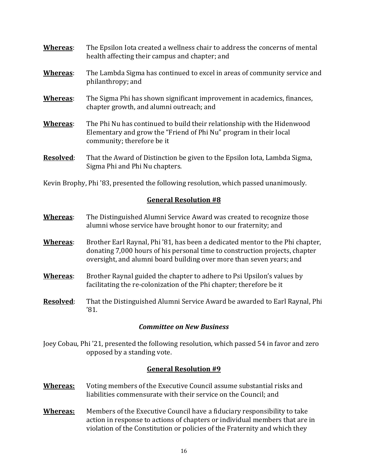| Whereas:         | The Epsilon Iota created a wellness chair to address the concerns of mental<br>health affecting their campus and chapter; and                                              |
|------------------|----------------------------------------------------------------------------------------------------------------------------------------------------------------------------|
| Whereas:         | The Lambda Sigma has continued to excel in areas of community service and<br>philanthropy; and                                                                             |
| Whereas:         | The Sigma Phi has shown significant improvement in academics, finances,<br>chapter growth, and alumni outreach; and                                                        |
| Whereas:         | The Phi Nu has continued to build their relationship with the Hidenwood<br>Elementary and grow the "Friend of Phi Nu" program in their local<br>community; therefore be it |
| <b>Resolved:</b> | That the Award of Distinction be given to the Epsilon Iota, Lambda Sigma,<br>Sigma Phi and Phi Nu chapters.                                                                |

Kevin Brophy, Phi '83, presented the following resolution, which passed unanimously.

## **General Resolution #8**

- **Whereas**: The Distinguished Alumni Service Award was created to recognize those alumni whose service have brought honor to our fraternity; and
- **Whereas**: Brother Earl Raynal, Phi '81, has been a dedicated mentor to the Phi chapter, donating 7,000 hours of his personal time to construction projects, chapter oversight, and alumni board building over more than seven years; and
- **Whereas**: Brother Raynal guided the chapter to adhere to Psi Upsilon's values by facilitating the re-colonization of the Phi chapter; therefore be it
- **Resolved**: That the Distinguished Alumni Service Award be awarded to Earl Raynal, Phi '81.

### *Committee on New Business*

Joey Cobau, Phi '21, presented the following resolution, which passed 54 in favor and zero opposed by a standing vote.

### **General Resolution #9**

- **Whereas:** Voting members of the Executive Council assume substantial risks and liabilities commensurate with their service on the Council; and
- **Whereas:** Members of the Executive Council have a fiduciary responsibility to take action in response to actions of chapters or individual members that are in violation of the Constitution or policies of the Fraternity and which they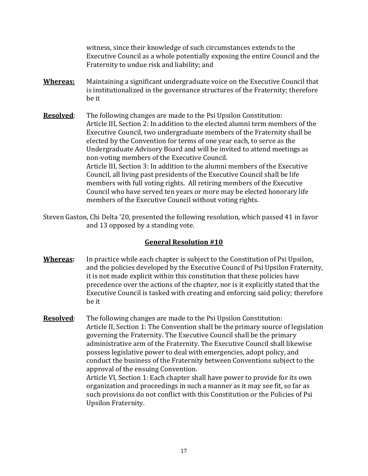witness, since their knowledge of such circumstances extends to the Executive Council as a whole potentially exposing the entire Council and the Fraternity to undue risk and liability; and

- **Whereas:** Maintaining a significant undergraduate voice on the Executive Council that is institutionalized in the governance structures of the Fraternity; therefore be it
- **Resolved:** The following changes are made to the Psi Upsilon Constitution: Article III, Section 2: In addition to the elected alumni term members of the Executive Council, two undergraduate members of the Fraternity shall be elected by the Convention for terms of one year each, to serve as the Undergraduate Advisory Board and will be invited to attend meetings as non-voting members of the Executive Council. Article III, Section 3: In addition to the alumni members of the Executive Council, all living past presidents of the Executive Council shall be life members with full voting rights. All retiring members of the Executive Council who have served ten years or more may be elected honorary life members of the Executive Council without voting rights.
- Steven Gaston, Chi Delta '20, presented the following resolution, which passed 41 in favor and 13 opposed by a standing vote.

# **General Resolution #10**

- **Whereas:** In practice while each chapter is subject to the Constitution of Psi Upsilon, and the policies developed by the Executive Council of Psi Upsilon Fraternity, it is not made explicit within this constitution that these policies have precedence over the actions of the chapter, nor is it explicitly stated that the Executive Council is tasked with creating and enforcing said policy; therefore be it
- **Resolved**: The following changes are made to the Psi Upsilon Constitution: Article II, Section 1: The Convention shall be the primary source of legislation governing the Fraternity. The Executive Council shall be the primary administrative arm of the Fraternity. The Executive Council shall likewise possess legislative power to deal with emergencies, adopt policy, and conduct the business of the Fraternity between Conventions subject to the approval of the ensuing Convention. Article VI, Section 1: Each chapter shall have power to provide for its own

organization and proceedings in such a manner as it may see fit, so far as such provisions do not conflict with this Constitution or the Policies of Psi Upsilon Fraternity.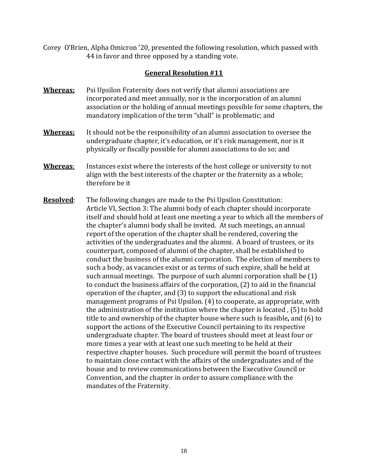Corey O'Brien, Alpha Omicron '20, presented the following resolution, which passed with 44 in favor and three opposed by a standing vote.

### **General Resolution #11**

- **Whereas:** Psi Upsilon Fraternity does not verify that alumni associations are incorporated and meet annually, nor is the incorporation of an alumni association or the holding of annual meetings possible for some chapters, the mandatory implication of the term "shall" is problematic; and
- **Whereas:** It should not be the responsibility of an alumni association to oversee the undergraduate chapter, it's education, or it's risk management, nor is it physically or fiscally possible for alumni associations to do so; and
- **Whereas**: Instances exist where the interests of the host college or university to not align with the best interests of the chapter or the fraternity as a whole; therefore be it
- **Resolved**: The following changes are made to the Psi Upsilon Constitution: Article VI, Section 3: The alumni body of each chapter should incorporate itself and should hold at least one meeting a year to which all the members of the chapter's alumni body shall be invited. At such meetings, an annual report of the operation of the chapter shall be rendered, covering the activities of the undergraduates and the alumni. A board of trustees, or its counterpart, composed of alumni of the chapter, shall be established to conduct the business of the alumni corporation. The election of members to such a body, as vacancies exist or as terms of such expire, shall be held at such annual meetings. The purpose of such alumni corporation shall be (1) to conduct the business affairs of the corporation, (2) to aid in the financial operation of the chapter, and (3) to support the educational and risk management programs of Psi Upsilon. (4) to cooperate, as appropriate, with the administration of the institution where the chapter is located , (5) to hold title to and ownership of the chapter house where such is feasible*,* and (6) to support the actions of the Executive Council pertaining to its respective undergraduate chapter. The board of trustees should meet at least four or more times a year with at least one such meeting to be held at their respective chapter houses. Such procedure will permit the board of trustees to maintain close contact with the affairs of the undergraduates and of the house and to review communications between the Executive Council or Convention, and the chapter in order to assure compliance with the mandates of the Fraternity.